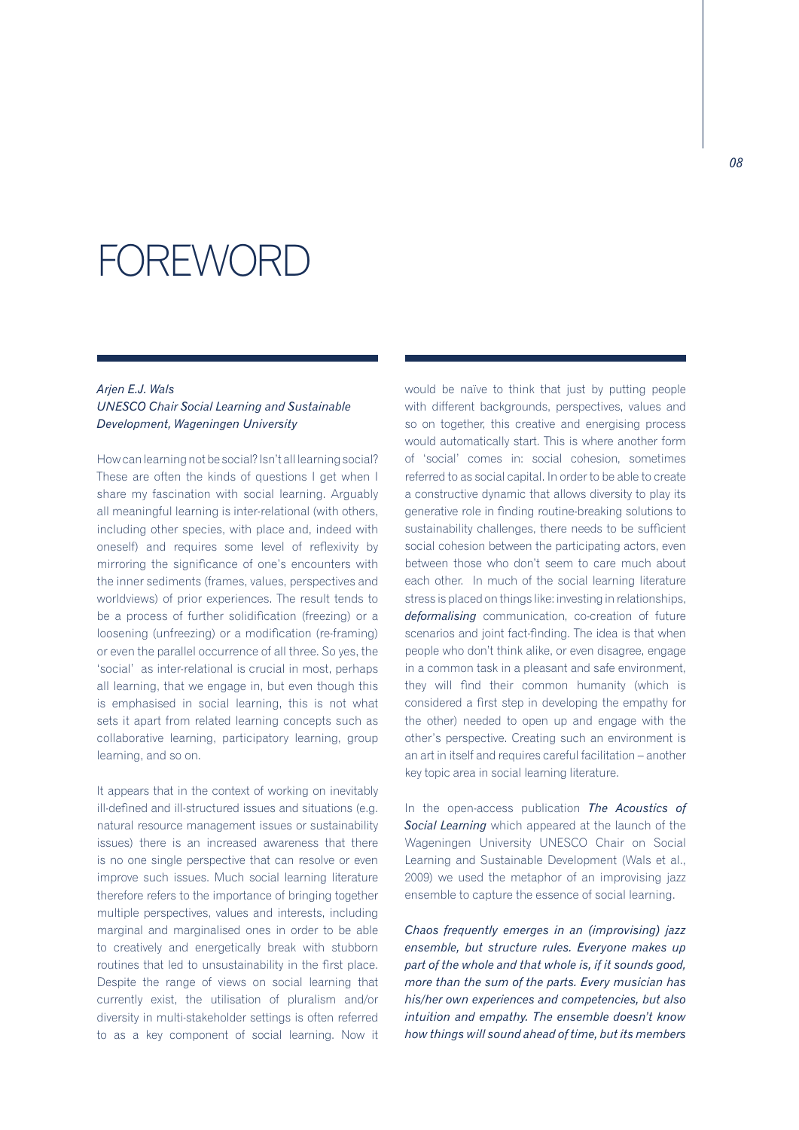## FOREWORD

## *Arjen E.J. Wals*

## *UNESCO Chair Social Learning and Sustainable Development, Wageningen University*

How can learning not be social? Isn't all learning social? These are often the kinds of questions I get when I share my fascination with social learning. Arguably all meaningful learning is inter-relational (with others, including other species, with place and, indeed with oneself) and requires some level of reflexivity by mirroring the significance of one's encounters with the inner sediments (frames, values, perspectives and worldviews) of prior experiences. The result tends to be a process of further solidification (freezing) or a loosening (unfreezing) or a modification (re-framing) or even the parallel occurrence of all three. So yes, the 'social' as inter-relational is crucial in most, perhaps all learning, that we engage in, but even though this is emphasised in social learning, this is not what sets it apart from related learning concepts such as collaborative learning, participatory learning, group learning, and so on.

It appears that in the context of working on inevitably ill-defined and ill-structured issues and situations (e.g. natural resource management issues or sustainability issues) there is an increased awareness that there is no one single perspective that can resolve or even improve such issues. Much social learning literature therefore refers to the importance of bringing together multiple perspectives, values and interests, including marginal and marginalised ones in order to be able to creatively and energetically break with stubborn routines that led to unsustainability in the first place. Despite the range of views on social learning that currently exist, the utilisation of pluralism and/or diversity in multi-stakeholder settings is often referred to as a key component of social learning. Now it

would be naïve to think that just by putting people with different backgrounds, perspectives, values and so on together, this creative and energising process would automatically start. This is where another form of 'social' comes in: social cohesion, sometimes referred to as social capital. In order to be able to create a constructive dynamic that allows diversity to play its generative role in finding routine-breaking solutions to sustainability challenges, there needs to be sufficient social cohesion between the participating actors, even between those who don't seem to care much about each other. In much of the social learning literature stress is placed on things like: investing in relationships, *deformalising* communication, co-creation of future scenarios and joint fact-finding. The idea is that when people who don't think alike, or even disagree, engage in a common task in a pleasant and safe environment, they will find their common humanity (which is considered a first step in developing the empathy for the other) needed to open up and engage with the other's perspective. Creating such an environment is an art in itself and requires careful facilitation – another key topic area in social learning literature.

In the open-access publication *The Acoustics of Social Learning* which appeared at the launch of the Wageningen University UNESCO Chair on Social Learning and Sustainable Development (Wals et al., 2009) we used the metaphor of an improvising jazz ensemble to capture the essence of social learning.

*Chaos frequently emerges in an (improvising) jazz ensemble, but structure rules. Everyone makes up part of the whole and that whole is, if it sounds good, more than the sum of the parts. Every musician has his/her own experiences and competencies, but also intuition and empathy. The ensemble doesn't know how things will sound ahead of time, but its members*